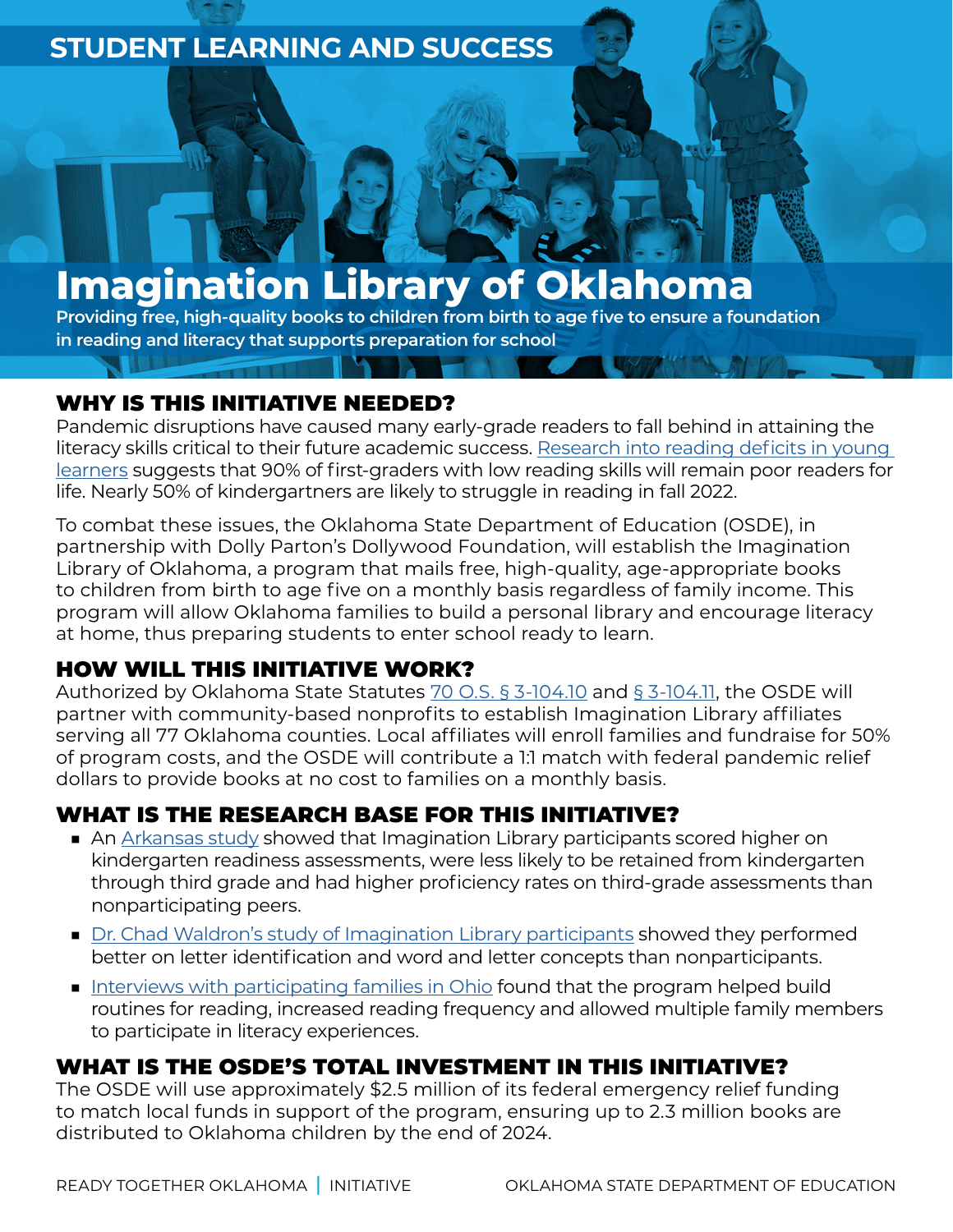# **STUDENT LEARNING AND SUCCESS**

# **Imagination Library of Oklahoma**

**Providing free, high-quality books to children from birth to age five to ensure a foundation in reading and literacy that supports preparation for school**

# WHY IS THIS INITIATIVE NEEDED?

Pandemic disruptions have caused many early-grade readers to fall behind in attaining the literacy skills critical to their future academic success. [Research into reading deficits in young](http://readytogether.sde.ok.gov/sites/default/files/2022-04/Amplify-mCLASS_MOY-COVID-Learning-Loss-Research-Brief_022421.pdf)  [learners](http://readytogether.sde.ok.gov/sites/default/files/2022-04/Amplify-mCLASS_MOY-COVID-Learning-Loss-Research-Brief_022421.pdf) suggests that 90% of first-graders with low reading skills will remain poor readers for life. Nearly 50% of kindergartners are likely to struggle in reading in fall 2022.

To combat these issues, the Oklahoma State Department of Education (OSDE), in partnership with Dolly Parton's Dollywood Foundation, will establish the Imagination Library of Oklahoma, a program that mails free, high-quality, age-appropriate books to children from birth to age five on a monthly basis regardless of family income. This program will allow Oklahoma families to build a personal library and encourage literacy at home, thus preparing students to enter school ready to learn.

# HOW WILL THIS INITIATIVE WORK?

Authorized by Oklahoma State Statutes [70 O.S. § 3-104.10](https://www.oscn.net/applications/oscn/DeliverDocument.asp?CiteID=487159) and [§ 3-104.11,](https://www.oscn.net/applications/oscn/DeliverDocument.asp?CiteID=487160) the OSDE will partner with community-based nonprofits to establish Imagination Library affiliates serving all 77 Oklahoma counties. Local affiliates will enroll families and fundraise for 50% of program costs, and the OSDE will contribute a 1:1 match with federal pandemic relief dollars to provide books at no cost to families on a monthly basis.

# WHAT IS THE RESEARCH BASE FOR THIS INITIATIVE?

- An [Arkansas study](http://readytogether.sde.ok.gov/sites/default/files/2022-04/Arkansas%20Dept%20of%20Education%20Study_2021_DPIL%20Effect%20%281%29%20%282%29.pdf) showed that Imagination Library participants scored higher on kindergarten readiness assessments, were less likely to be retained from kindergarten through third grade and had higher proficiency rates on third-grade assessments than nonparticipating peers.
- [Dr. Chad Waldron's study of Imagination Library participants](http://readytogether.sde.ok.gov/sites/default/files/2022-04/PA%2C%20Erie%20-%20Dr.%20Chad%20Waldron%2C%20The%20Imagination%20Library%20Influencing%20Storybook%20Reading%20and%20Early%20Literacy%20%281%29%20%282%29%20%281%29.pdf) showed they performed better on letter identification and word and letter concepts than nonparticipants.
- [Interviews with participating families in Ohio](http://readytogether.sde.ok.gov/sites/default/files/2022-04/OH%2C%20Cincinnati%20-%20Beyond%20the%20Numbers-Social%20and%20Emotional%20Benefits%20of%20Participation%20in%20the%20Imagination%20Library%20%283%29%20%281%29.pdf) found that the program helped build routines for reading, increased reading frequency and allowed multiple family members to participate in literacy experiences.

# WHAT IS THE OSDE'S TOTAL INVESTMENT IN THIS INITIATIVE?

The OSDE will use approximately \$2.5 million of its federal emergency relief funding to match local funds in support of the program, ensuring up to 2.3 million books are distributed to Oklahoma children by the end of 2024.